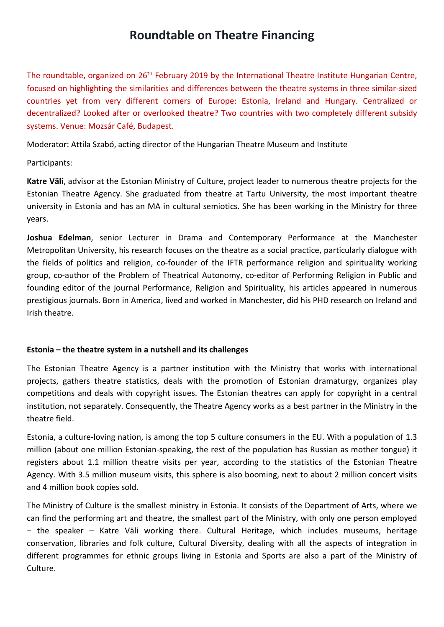# **Roundtable on Theatre Financing**

The roundtable, organized on 26<sup>th</sup> February 2019 by the International Theatre Institute Hungarian Centre, focused on highlighting the similarities and differences between the theatre systems in three similar-sized countries yet from very different corners of Europe: Estonia, Ireland and Hungary. Centralized or decentralized? Looked after or overlooked theatre? Two countries with two completely different subsidy systems. Venue: Mozsár Café, Budapest.

Moderator: Attila Szabó, acting director of the Hungarian Theatre Museum and Institute

Participants:

**Katre Väli**, advisor at the Estonian Ministry of Culture, project leader to numerous theatre projects for the Estonian Theatre Agency. She graduated from theatre at Tartu University, the most important theatre university in Estonia and has an MA in cultural semiotics. She has been working in the Ministry for three years.

**Joshua Edelman**, senior Lecturer in Drama and Contemporary Performance at the Manchester Metropolitan University, his research focuses on the theatre as a social practice, particularly dialogue with the fields of politics and religion, co-founder of the IFTR performance religion and spirituality working group, co-author of the Problem of Theatrical Autonomy, co-editor of Performing Religion in Public and founding editor of the journal Performance, Religion and Spirituality, his articles appeared in numerous prestigious journals. Born in America, lived and worked in Manchester, did his PHD research on Ireland and Irish theatre.

# **Estonia – the theatre system in a nutshell and its challenges**

The Estonian Theatre Agency is a partner institution with the Ministry that works with international projects, gathers theatre statistics, deals with the promotion of Estonian dramaturgy, organizes play competitions and deals with copyright issues. The Estonian theatres can apply for copyright in a central institution, not separately. Consequently, the Theatre Agency works as a best partner in the Ministry in the theatre field.

Estonia, a culture-loving nation, is among the top 5 culture consumers in the EU. With a population of 1.3 million (about one million Estonian-speaking, the rest of the population has Russian as mother tongue) it registers about 1.1 million theatre visits per year, according to the statistics of the Estonian Theatre Agency. With 3.5 million museum visits, this sphere is also booming, next to about 2 million concert visits and 4 million book copies sold.

The Ministry of Culture is the smallest ministry in Estonia. It consists of the Department of Arts, where we can find the performing art and theatre, the smallest part of the Ministry, with only one person employed – the speaker – Katre Väli working there. Cultural Heritage, which includes museums, heritage conservation, libraries and folk culture, Cultural Diversity, dealing with all the aspects of integration in different programmes for ethnic groups living in Estonia and Sports are also a part of the Ministry of Culture.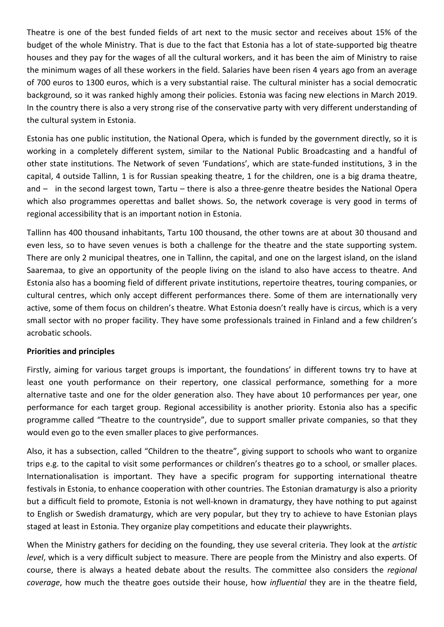Theatre is one of the best funded fields of art next to the music sector and receives about 15% of the budget of the whole Ministry. That is due to the fact that Estonia has a lot of state-supported big theatre houses and they pay for the wages of all the cultural workers, and it has been the aim of Ministry to raise the minimum wages of all these workers in the field. Salaries have been risen 4 years ago from an average of 700 euros to 1300 euros, which is a very substantial raise. The cultural minister has a social democratic background, so it was ranked highly among their policies. Estonia was facing new elections in March 2019. In the country there is also a very strong rise of the conservative party with very different understanding of the cultural system in Estonia.

Estonia has one public institution, the National Opera, which is funded by the government directly, so it is working in a completely different system, similar to the National Public Broadcasting and a handful of other state institutions. The Network of seven 'Fundations', which are state-funded institutions, 3 in the capital, 4 outside Tallinn, 1 is for Russian speaking theatre, 1 for the children, one is a big drama theatre, and – in the second largest town, Tartu – there is also a three-genre theatre besides the National Opera which also programmes operettas and ballet shows. So, the network coverage is very good in terms of regional accessibility that is an important notion in Estonia.

Tallinn has 400 thousand inhabitants, Tartu 100 thousand, the other towns are at about 30 thousand and even less, so to have seven venues is both a challenge for the theatre and the state supporting system. There are only 2 municipal theatres, one in Tallinn, the capital, and one on the largest island, on the island Saaremaa, to give an opportunity of the people living on the island to also have access to theatre. And Estonia also has a booming field of different private institutions, repertoire theatres, touring companies, or cultural centres, which only accept different performances there. Some of them are internationally very active, some of them focus on children's theatre. What Estonia doesn't really have is circus, which is a very small sector with no proper facility. They have some professionals trained in Finland and a few children's acrobatic schools.

# **Priorities and principles**

Firstly, aiming for various target groups is important, the foundations' in different towns try to have at least one youth performance on their repertory, one classical performance, something for a more alternative taste and one for the older generation also. They have about 10 performances per year, one performance for each target group. Regional accessibility is another priority. Estonia also has a specific programme called "Theatre to the countryside", due to support smaller private companies, so that they would even go to the even smaller places to give performances.

Also, it has a subsection, called "Children to the theatre", giving support to schools who want to organize trips e.g. to the capital to visit some performances or children's theatres go to a school, or smaller places. Internationalisation is important. They have a specific program for supporting international theatre festivals in Estonia, to enhance cooperation with other countries. The Estonian dramaturgy is also a priority but a difficult field to promote, Estonia is not well-known in dramaturgy, they have nothing to put against to English or Swedish dramaturgy, which are very popular, but they try to achieve to have Estonian plays staged at least in Estonia. They organize play competitions and educate their playwrights.

When the Ministry gathers for deciding on the founding, they use several criteria. They look at the *artistic level*, which is a very difficult subject to measure. There are people from the Ministry and also experts. Of course, there is always a heated debate about the results. The committee also considers the *regional coverage*, how much the theatre goes outside their house, how *influential* they are in the theatre field,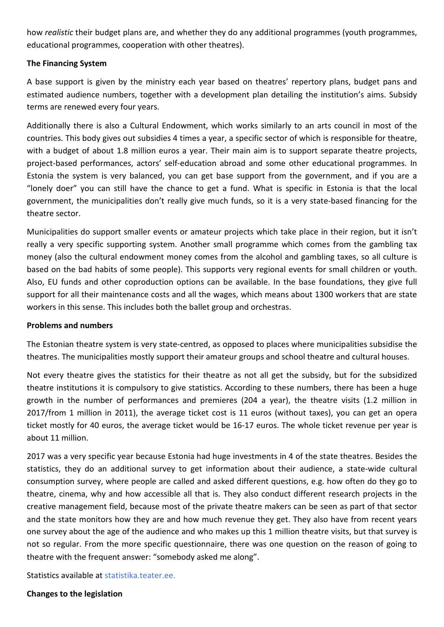how *realistic* their budget plans are, and whether they do any additional programmes (youth programmes, educational programmes, cooperation with other theatres).

## **The Financing System**

A base support is given by the ministry each year based on theatres' repertory plans, budget pans and estimated audience numbers, together with a development plan detailing the institution's aims. Subsidy terms are renewed every four years.

Additionally there is also a Cultural Endowment, which works similarly to an arts council in most of the countries. This body gives out subsidies 4 times a year, a specific sector of which is responsible for theatre, with a budget of about 1.8 million euros a year. Their main aim is to support separate theatre projects, project-based performances, actors' self-education abroad and some other educational programmes. In Estonia the system is very balanced, you can get base support from the government, and if you are a "lonely doer" you can still have the chance to get a fund. What is specific in Estonia is that the local government, the municipalities don't really give much funds, so it is a very state-based financing for the theatre sector.

Municipalities do support smaller events or amateur projects which take place in their region, but it isn't really a very specific supporting system. Another small programme which comes from the gambling tax money (also the cultural endowment money comes from the alcohol and gambling taxes, so all culture is based on the bad habits of some people). This supports very regional events for small children or youth. Also, EU funds and other coproduction options can be available. In the base foundations, they give full support for all their maintenance costs and all the wages, which means about 1300 workers that are state workers in this sense. This includes both the ballet group and orchestras.

## **Problems and numbers**

The Estonian theatre system is very state-centred, as opposed to places where municipalities subsidise the theatres. The municipalities mostly support their amateur groups and school theatre and cultural houses.

Not every theatre gives the statistics for their theatre as not all get the subsidy, but for the subsidized theatre institutions it is compulsory to give statistics. According to these numbers, there has been a huge growth in the number of performances and premieres (204 a year), the theatre visits (1.2 million in 2017/from 1 million in 2011), the average ticket cost is 11 euros (without taxes), you can get an opera ticket mostly for 40 euros, the average ticket would be 16-17 euros. The whole ticket revenue per year is about 11 million.

2017 was a very specific year because Estonia had huge investments in 4 of the state theatres. Besides the statistics, they do an additional survey to get information about their audience, a state-wide cultural consumption survey, where people are called and asked different questions, e.g. how often do they go to theatre, cinema, why and how accessible all that is. They also conduct different research projects in the creative management field, because most of the private theatre makers can be seen as part of that sector and the state monitors how they are and how much revenue they get. They also have from recent years one survey about the age of the audience and who makes up this 1 million theatre visits, but that survey is not so regular. From the more specific questionnaire, there was one question on the reason of going to theatre with the frequent answer: "somebody asked me along".

Statistics available at statistika.teater.ee.

## **Changes to the legislation**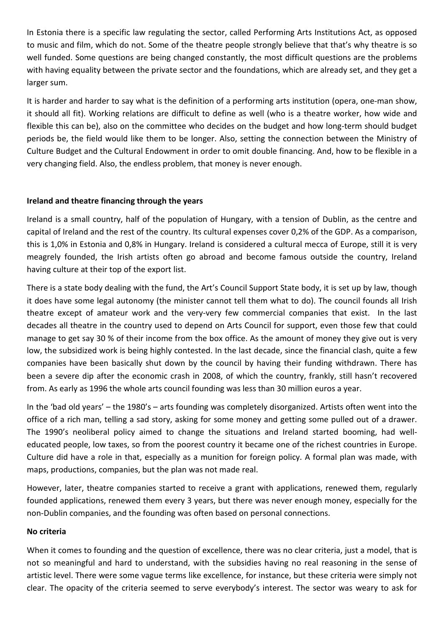In Estonia there is a specific law regulating the sector, called Performing Arts Institutions Act, as opposed to music and film, which do not. Some of the theatre people strongly believe that that's why theatre is so well funded. Some questions are being changed constantly, the most difficult questions are the problems with having equality between the private sector and the foundations, which are already set, and they get a larger sum.

It is harder and harder to say what is the definition of a performing arts institution (opera, one-man show, it should all fit). Working relations are difficult to define as well (who is a theatre worker, how wide and flexible this can be), also on the committee who decides on the budget and how long-term should budget periods be, the field would like them to be longer. Also, setting the connection between the Ministry of Culture Budget and the Cultural Endowment in order to omit double financing. And, how to be flexible in a very changing field. Also, the endless problem, that money is never enough.

# **Ireland and theatre financing through the years**

Ireland is a small country, half of the population of Hungary, with a tension of Dublin, as the centre and capital of Ireland and the rest of the country. Its cultural expenses cover 0,2% of the GDP. As a comparison, this is 1,0% in Estonia and 0,8% in Hungary. Ireland is considered a cultural mecca of Europe, still it is very meagrely founded, the Irish artists often go abroad and become famous outside the country, Ireland having culture at their top of the export list.

There is a state body dealing with the fund, the Art's Council Support State body, it is set up by law, though it does have some legal autonomy (the minister cannot tell them what to do). The council founds all Irish theatre except of amateur work and the very-very few commercial companies that exist. In the last decades all theatre in the country used to depend on Arts Council for support, even those few that could manage to get say 30 % of their income from the box office. As the amount of money they give out is very low, the subsidized work is being highly contested. In the last decade, since the financial clash, quite a few companies have been basically shut down by the council by having their funding withdrawn. There has been a severe dip after the economic crash in 2008, of which the country, frankly, still hasn't recovered from. As early as 1996 the whole arts council founding was less than 30 million euros a year.

In the 'bad old years' – the 1980's – arts founding was completely disorganized. Artists often went into the office of a rich man, telling a sad story, asking for some money and getting some pulled out of a drawer. The 1990's neoliberal policy aimed to change the situations and Ireland started booming, had welleducated people, low taxes, so from the poorest country it became one of the richest countries in Europe. Culture did have a role in that, especially as a munition for foreign policy. A formal plan was made, with maps, productions, companies, but the plan was not made real.

However, later, theatre companies started to receive a grant with applications, renewed them, regularly founded applications, renewed them every 3 years, but there was never enough money, especially for the non-Dublin companies, and the founding was often based on personal connections.

## **No criteria**

When it comes to founding and the question of excellence, there was no clear criteria, just a model, that is not so meaningful and hard to understand, with the subsidies having no real reasoning in the sense of artistic level. There were some vague terms like excellence, for instance, but these criteria were simply not clear. The opacity of the criteria seemed to serve everybody's interest. The sector was weary to ask for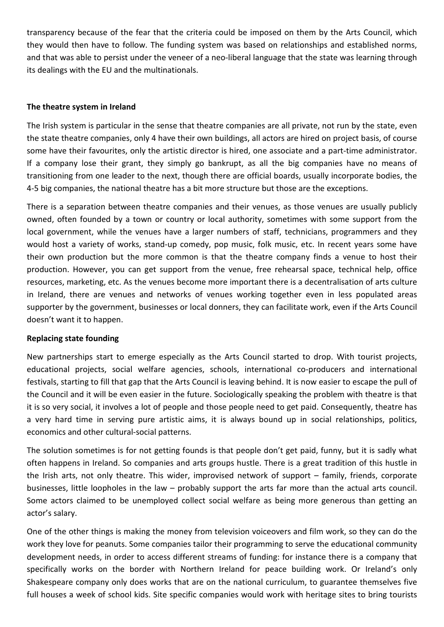transparency because of the fear that the criteria could be imposed on them by the Arts Council, which they would then have to follow. The funding system was based on relationships and established norms, and that was able to persist under the veneer of a neo-liberal language that the state was learning through its dealings with the EU and the multinationals.

## **The theatre system in Ireland**

The Irish system is particular in the sense that theatre companies are all private, not run by the state, even the state theatre companies, only 4 have their own buildings, all actors are hired on project basis, of course some have their favourites, only the artistic director is hired, one associate and a part-time administrator. If a company lose their grant, they simply go bankrupt, as all the big companies have no means of transitioning from one leader to the next, though there are official boards, usually incorporate bodies, the 4-5 big companies, the national theatre has a bit more structure but those are the exceptions.

There is a separation between theatre companies and their venues, as those venues are usually publicly owned, often founded by a town or country or local authority, sometimes with some support from the local government, while the venues have a larger numbers of staff, technicians, programmers and they would host a variety of works, stand-up comedy, pop music, folk music, etc. In recent years some have their own production but the more common is that the theatre company finds a venue to host their production. However, you can get support from the venue, free rehearsal space, technical help, office resources, marketing, etc. As the venues become more important there is a decentralisation of arts culture in Ireland, there are venues and networks of venues working together even in less populated areas supporter by the government, businesses or local donners, they can facilitate work, even if the Arts Council doesn't want it to happen.

## **Replacing state founding**

New partnerships start to emerge especially as the Arts Council started to drop. With tourist projects, educational projects, social welfare agencies, schools, international co-producers and international festivals, starting to fill that gap that the Arts Council is leaving behind. It is now easier to escape the pull of the Council and it will be even easier in the future. Sociologically speaking the problem with theatre is that it is so very social, it involves a lot of people and those people need to get paid. Consequently, theatre has a very hard time in serving pure artistic aims, it is always bound up in social relationships, politics, economics and other cultural-social patterns.

The solution sometimes is for not getting founds is that people don't get paid, funny, but it is sadly what often happens in Ireland. So companies and arts groups hustle. There is a great tradition of this hustle in the Irish arts, not only theatre. This wider, improvised network of support – family, friends, corporate businesses, little loopholes in the law – probably support the arts far more than the actual arts council. Some actors claimed to be unemployed collect social welfare as being more generous than getting an actor's salary.

One of the other things is making the money from television voiceovers and film work, so they can do the work they love for peanuts. Some companies tailor their programming to serve the educational community development needs, in order to access different streams of funding: for instance there is a company that specifically works on the border with Northern Ireland for peace building work. Or Ireland's only Shakespeare company only does works that are on the national curriculum, to guarantee themselves five full houses a week of school kids. Site specific companies would work with heritage sites to bring tourists